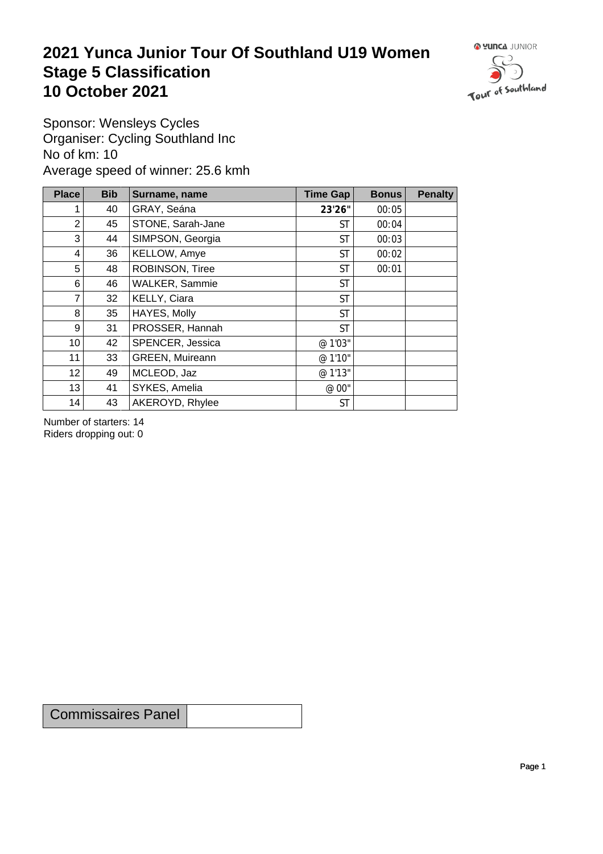## **2021 Yunca Junior Tour Of Southland U19 Women** Stage 5 Classification<br>10 October 2021 **10 October 2021**



Sponsor: Wensleys Cycles Organiser: Cycling Southland Inc No of km: 10 Average speed of winner: 25.6 kmh

| <b>Place</b>    | <b>Bib</b> | Surname, name     | Time Gap  | <b>Bonus</b> | <b>Penalty</b> |
|-----------------|------------|-------------------|-----------|--------------|----------------|
|                 | 40         | GRAY, Seána       | 23'26"    | 00:05        |                |
| $\overline{2}$  | 45         | STONE, Sarah-Jane | <b>ST</b> | 00:04        |                |
| 3               | 44         | SIMPSON, Georgia  | <b>ST</b> | 00:03        |                |
| 4               | 36         | KELLOW, Amye      | <b>ST</b> | 00:02        |                |
| 5               | 48         | ROBINSON, Tiree   | <b>ST</b> | 00:01        |                |
| 6               | 46         | WALKER, Sammie    | <b>ST</b> |              |                |
| 7               | 32         | KELLY, Ciara      | <b>ST</b> |              |                |
| 8               | 35         | HAYES, Molly      | <b>ST</b> |              |                |
| 9               | 31         | PROSSER, Hannah   | <b>ST</b> |              |                |
| 10 <sub>1</sub> | 42         | SPENCER, Jessica  | @ 1'03"   |              |                |
| 11              | 33         | GREEN, Muireann   | @ 1'10"   |              |                |
| 12              | 49         | MCLEOD, Jaz       | @ 1'13"   |              |                |
| 13              | 41         | SYKES, Amelia     | @ 00"     |              |                |
| 14              | 43         | AKEROYD, Rhylee   | <b>ST</b> |              |                |

Number of starters: 14 Riders dropping out: 0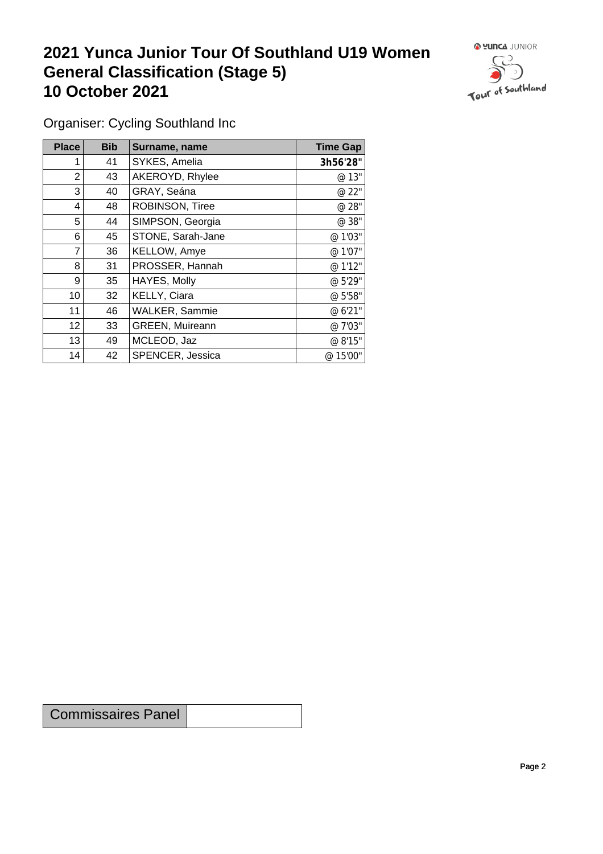## **2021 Yunca Junior Tour Of Southland U19 Women General Classification (Stage 5)**<br>10 October 2021 **10 October 2021**



Organiser: Cycling Southland Inc

| Place          | <b>Bib</b> | Surname, name          | <b>Time Gap</b> |
|----------------|------------|------------------------|-----------------|
|                | 41         | SYKES, Amelia          | 3h56'28"        |
| 2              | 43         | AKEROYD, Rhylee        | @ 13"           |
| 3 <sub>1</sub> | 40         | GRAY, Seána            | @ 22"           |
| 4              | 48         | ROBINSON, Tiree        | @ 28"           |
| 5              | 44         | SIMPSON, Georgia       | @ 38"           |
| 6              | 45         | STONE, Sarah-Jane      | @ 1'03"         |
| 7              | 36         | KELLOW, Amye           | @ 1'07"         |
| 8              | 31         | PROSSER, Hannah        | @ 1'12"         |
| 9              | 35         | HAYES, Molly           | @ 5'29"         |
| 10             | 32         | <b>KELLY, Ciara</b>    | @ 5'58"         |
| 11             | 46         | <b>WALKER, Sammie</b>  | @ 6'21"         |
| 12             | 33         | <b>GREEN, Muireann</b> | @ 7'03"         |
| 13             | 49         | MCLEOD, Jaz            | @ 8'15"         |
| 14             | 42         | SPENCER, Jessica       | @ 15'00"        |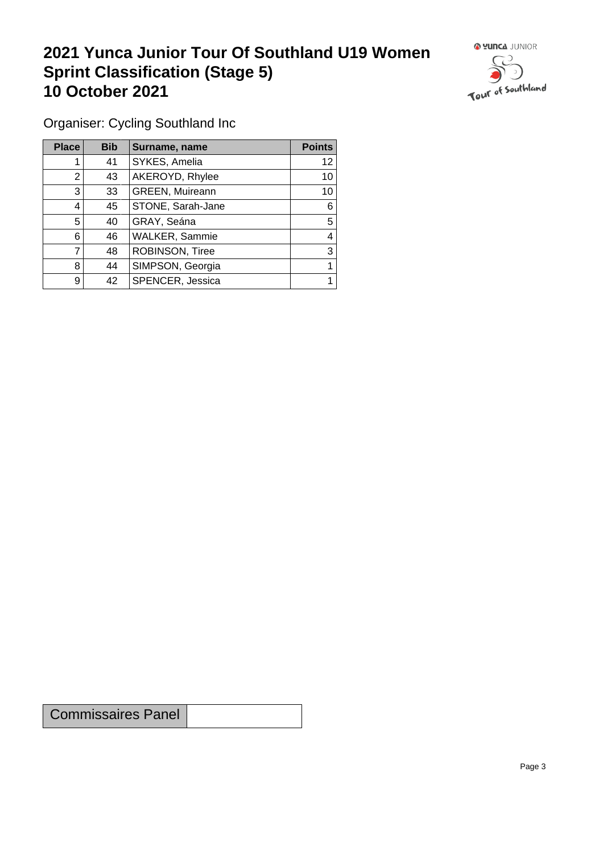## **2021 Yunca Junior Tour Of Southland U19 Women Sprint Classification (Stage 5) 10 October 2021**



Organiser: Cycling Southland Inc

| <b>Place</b> | <b>Bib</b> | Surname, name     | <b>Points</b> |
|--------------|------------|-------------------|---------------|
|              | 41         | SYKES, Amelia     | 12            |
| 2            | 43         | AKEROYD, Rhylee   | 10            |
| 3            | 33         | GREEN, Muireann   | 10            |
| 4            | 45         | STONE, Sarah-Jane | 6             |
| 5            | 40         | GRAY, Seána       | 5             |
| 6            | 46         | WALKER, Sammie    | 4             |
|              | 48         | ROBINSON, Tiree   | 3             |
| 8            | 44         | SIMPSON, Georgia  |               |
| 9            | 42         | SPENCER, Jessica  |               |